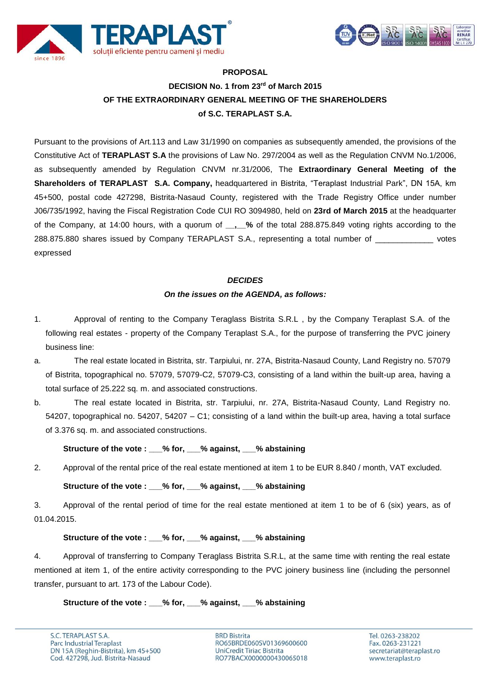



# **PROPOSAL DECISION No. 1 from 23 rd of March 2015 OF THE EXTRAORDINARY GENERAL MEETING OF THE SHAREHOLDERS of S.C. TERAPLAST S.A.**

Pursuant to the provisions of Art.113 and Law 31/1990 on companies as subsequently amended, the provisions of the Constitutive Act of **TERAPLAST S.A** the provisions of Law No. 297/2004 as well as the Regulation CNVM No.1/2006, as subsequently amended by Regulation CNVM nr.31/2006, The **Extraordinary General Meeting of the Shareholders of TERAPLAST S.A. Company,** headquartered in Bistrita, "Teraplast Industrial Park", DN 15A, km 45+500, postal code 427298, Bistrita-Nasaud County, registered with the Trade Registry Office under number J06/735/1992, having the Fiscal Registration Code CUI RO 3094980, held on **23rd of March 2015** at the headquarter of the Company, at 14:00 hours, with a quorum of **\_\_,\_\_%** of the total 288.875.849 voting rights according to the 288.875.880 shares issued by Company TERAPLAST S.A., representing a total number of votes expressed

# *DECIDES*

# *On the issues on the AGENDA, as follows:*

- 1. Approval of renting to the Company Teraglass Bistrita S.R.L , by the Company Teraplast S.A. of the following real estates - property of the Company Teraplast S.A., for the purpose of transferring the PVC joinery business line:
- a. The real estate located in Bistrita, str. Tarpiului, nr. 27A, Bistrita-Nasaud County, Land Registry no. 57079 of Bistrita, topographical no. 57079, 57079-C2, 57079-C3, consisting of a land within the built-up area, having a total surface of 25.222 sq. m. and associated constructions.
- b. The real estate located in Bistrita, str. Tarpiului, nr. 27A, Bistrita-Nasaud County, Land Registry no. 54207, topographical no. 54207, 54207 – C1; consisting of a land within the built-up area, having a total surface of 3.376 sq. m. and associated constructions.

# **Structure of the vote : \_\_\_% for, \_\_\_% against, \_\_\_% abstaining**

2. Approval of the rental price of the real estate mentioned at item 1 to be EUR 8.840 / month, VAT excluded.

# **Structure of the vote : \_\_\_% for, \_\_\_% against, \_\_\_% abstaining**

3. Approval of the rental period of time for the real estate mentioned at item 1 to be of 6 (six) years, as of 01.04.2015.

# **Structure of the vote : \_\_\_% for, \_\_\_% against, \_\_\_% abstaining**

4. Approval of transferring to Company Teraglass Bistrita S.R.L, at the same time with renting the real estate mentioned at item 1, of the entire activity corresponding to the PVC joinery business line (including the personnel transfer, pursuant to art. 173 of the Labour Code).

# **Structure of the vote : \_\_\_% for, \_\_\_% against, \_\_\_% abstaining**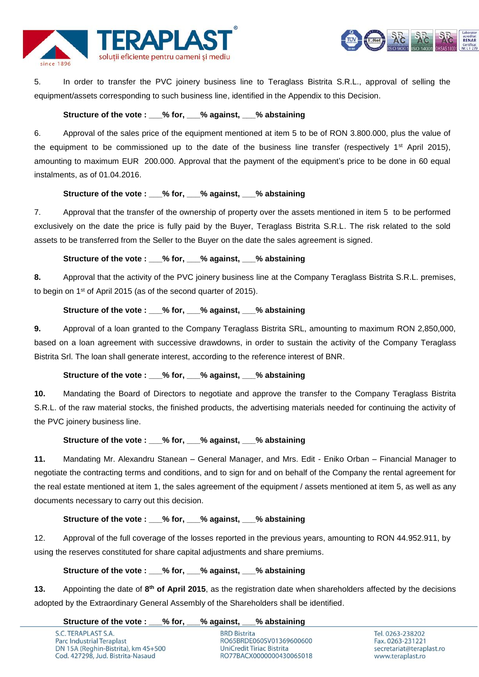



5. In order to transfer the PVC joinery business line to Teraglass Bistrita S.R.L., approval of selling the equipment/assets corresponding to such business line, identified in the Appendix to this Decision.

#### **Structure of the vote : \_\_\_% for, \_\_\_% against, \_\_\_% abstaining**

6. Approval of the sales price of the equipment mentioned at item 5 to be of RON 3.800.000, plus the value of the equipment to be commissioned up to the date of the business line transfer (respectively 1<sup>st</sup> April 2015), amounting to maximum EUR 200.000. Approval that the payment of the equipment's price to be done in 60 equal instalments, as of 01.04.2016.

## **Structure of the vote : \_\_\_% for, \_\_\_% against, \_\_\_% abstaining**

7. Approval that the transfer of the ownership of property over the assets mentioned in item 5 to be performed exclusively on the date the price is fully paid by the Buyer, Teraglass Bistrita S.R.L. The risk related to the sold assets to be transferred from the Seller to the Buyer on the date the sales agreement is signed.

## **Structure of the vote : \_\_\_% for, \_\_\_% against, \_\_\_% abstaining**

**8.** Approval that the activity of the PVC joinery business line at the Company Teraglass Bistrita S.R.L. premises, to begin on 1st of April 2015 (as of the second quarter of 2015).

#### **Structure of the vote : \_\_\_% for, \_\_\_% against, \_\_\_% abstaining**

**9.** Approval of a loan granted to the Company Teraglass Bistrita SRL, amounting to maximum RON 2,850,000, based on a loan agreement with successive drawdowns, in order to sustain the activity of the Company Teraglass Bistrita Srl. The loan shall generate interest, according to the reference interest of BNR.

# **Structure of the vote : \_\_\_% for, \_\_\_% against, \_\_\_% abstaining**

**10.** Mandating the Board of Directors to negotiate and approve the transfer to the Company Teraglass Bistrita S.R.L. of the raw material stocks, the finished products, the advertising materials needed for continuing the activity of the PVC joinery business line.

## **Structure of the vote : \_\_\_% for, \_\_\_% against, \_\_\_% abstaining**

**11.** Mandating Mr. Alexandru Stanean – General Manager, and Mrs. Edit - Eniko Orban – Financial Manager to negotiate the contracting terms and conditions, and to sign for and on behalf of the Company the rental agreement for the real estate mentioned at item 1, the sales agreement of the equipment / assets mentioned at item 5, as well as any documents necessary to carry out this decision.

#### **Structure of the vote : \_\_\_% for, \_\_\_% against, \_\_\_% abstaining**

12. Approval of the full coverage of the losses reported in the previous years, amounting to RON 44.952.911, by using the reserves constituted for share capital adjustments and share premiums.

#### **Structure of the vote : \_\_\_% for, \_\_\_% against, \_\_\_% abstaining**

**13.** Appointing the date of **8 th of April 2015**, as the registration date when shareholders affected by the decisions adopted by the Extraordinary General Assembly of the Shareholders shall be identified.

**Structure of the vote : \_\_\_% for, \_\_\_% against, \_\_\_% abstaining**

S.C. TERAPLAST S.A. Parc Industrial Teraplast DN 15A (Reghin-Bistrita), km 45+500 Cod. 427298, Jud. Bistrita-Nasaud

**BRD Bistrita** RO65BRDE060SV01369600600 UniCredit Tiriac Bistrita RO77BACX0000000430065018

Tel. 0263-238202 Fax. 0263-231221 secretariat@teraplast.ro www.teraplast.ro